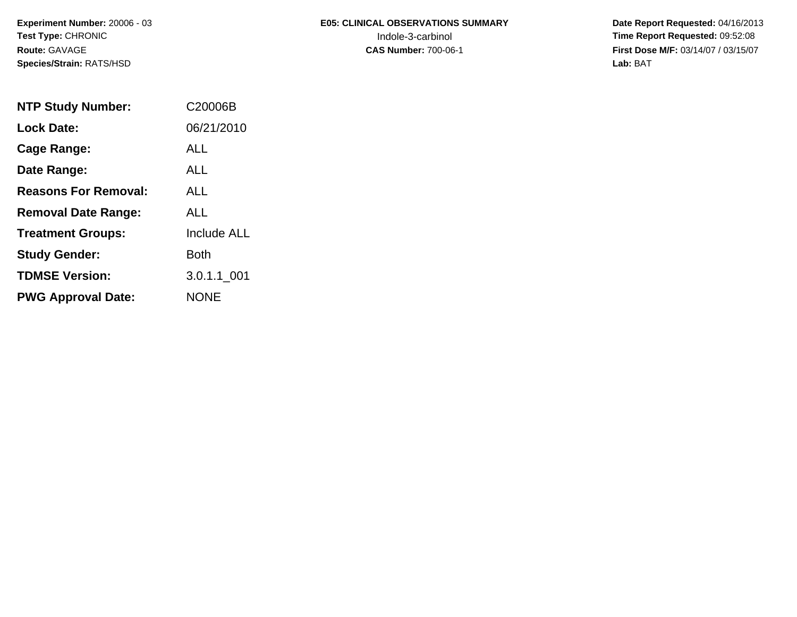**Experiment Number:** 20006 - 03**Test Type:** CHRONIC**Route:** GAVAGE**Species/Strain:** RATS/HSD

# **E05: CLINICAL OBSERVATIONS SUMMARY**

 **Date Report Requested:** 04/16/2013 Indole-3-carbinol **Time Report Requested:** 09:52:08 **First Dose M/F:** 03/14/07 / 03/15/07<br>Lab: BAT **Lab:** BAT

| <b>NTP Study Number:</b>    | C20006B            |
|-----------------------------|--------------------|
| Lock Date:                  | 06/21/2010         |
| Cage Range:                 | ALL                |
| Date Range:                 | AI I               |
| <b>Reasons For Removal:</b> | AI I               |
| <b>Removal Date Range:</b>  | ALL                |
| <b>Treatment Groups:</b>    | <b>Include ALL</b> |
| <b>Study Gender:</b>        | Both               |
| <b>TDMSE Version:</b>       | 3.0.1.1 001        |
| <b>PWG Approval Date:</b>   | <b>NONE</b>        |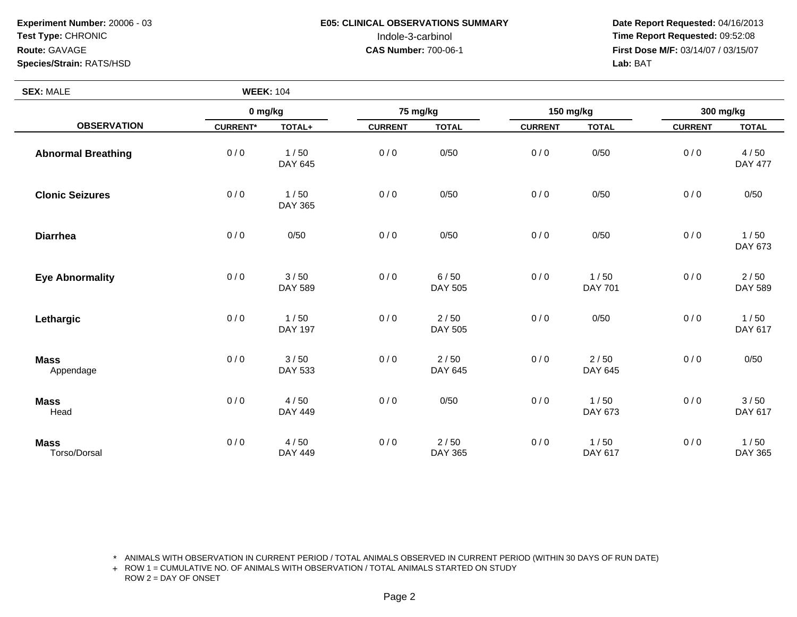**Experiment Number:** 20006 - 03**Test Type:** CHRONIC**Route:** GAVAGE**Species/Strain:** RATS/HSD

**SEX:** MALE

## **E05: CLINICAL OBSERVATIONS SUMMARY**

 **Date Report Requested:** 04/16/2013 Indole-3-carbinol **Time Report Requested:** 09:52:08 **First Dose M/F:** 03/14/07 / 03/15/07<br>Lab: BAT **Lab:** BAT

| <b>SEX: MALE</b>            | <b>WEEK: 104</b> |                        |                |                        |                |                   |                |                        |
|-----------------------------|------------------|------------------------|----------------|------------------------|----------------|-------------------|----------------|------------------------|
| <b>OBSERVATION</b>          | 0 mg/kg          |                        | 75 mg/kg       |                        | 150 mg/kg      |                   | 300 mg/kg      |                        |
|                             | <b>CURRENT*</b>  | TOTAL+                 | <b>CURRENT</b> | <b>TOTAL</b>           | <b>CURRENT</b> | <b>TOTAL</b>      | <b>CURRENT</b> | <b>TOTAL</b>           |
| <b>Abnormal Breathing</b>   | 0/0              | 1/50<br>DAY 645        | 0/0            | 0/50                   | 0/0            | 0/50              | 0/0            | 4/50<br><b>DAY 477</b> |
| <b>Clonic Seizures</b>      | 0/0              | 1/50<br>DAY 365        | 0/0            | 0/50                   | 0/0            | 0/50              | 0/0            | 0/50                   |
| <b>Diarrhea</b>             | 0/0              | 0/50                   | 0/0            | 0/50                   | 0/0            | 0/50              | 0/0            | 1/50<br>DAY 673        |
| <b>Eye Abnormality</b>      | 0/0              | 3/50<br>DAY 589        | 0/0            | 6/50<br>DAY 505        | 0/0            | 1/50<br>DAY 701   | 0/0            | 2/50<br>DAY 589        |
| Lethargic                   | 0/0              | 1/50<br><b>DAY 197</b> | 0/0            | 2/50<br>DAY 505        | 0/0            | 0/50              | 0/0            | 1/50<br>DAY 617        |
| <b>Mass</b><br>Appendage    | 0/0              | 3/50<br>DAY 533        | 0/0            | 2/50<br>DAY 645        | 0/0            | $2/50$<br>DAY 645 | 0/0            | 0/50                   |
| <b>Mass</b><br>Head         | 0/0              | 4/50<br><b>DAY 449</b> | 0/0            | 0/50                   | 0/0            | 1/50<br>DAY 673   | 0/0            | 3/50<br>DAY 617        |
| <b>Mass</b><br>Torso/Dorsal | 0/0              | 4/50<br>DAY 449        | 0/0            | 2/50<br><b>DAY 365</b> | 0/0            | 1/50<br>DAY 617   | 0/0            | 1/50<br>DAY 365        |

\* ANIMALS WITH OBSERVATION IN CURRENT PERIOD / TOTAL ANIMALS OBSERVED IN CURRENT PERIOD (WITHIN 30 DAYS OF RUN DATE)

+ ROW 1 = CUMULATIVE NO. OF ANIMALS WITH OBSERVATION / TOTAL ANIMALS STARTED ON STUDY ROW 2 = DAY OF ONSET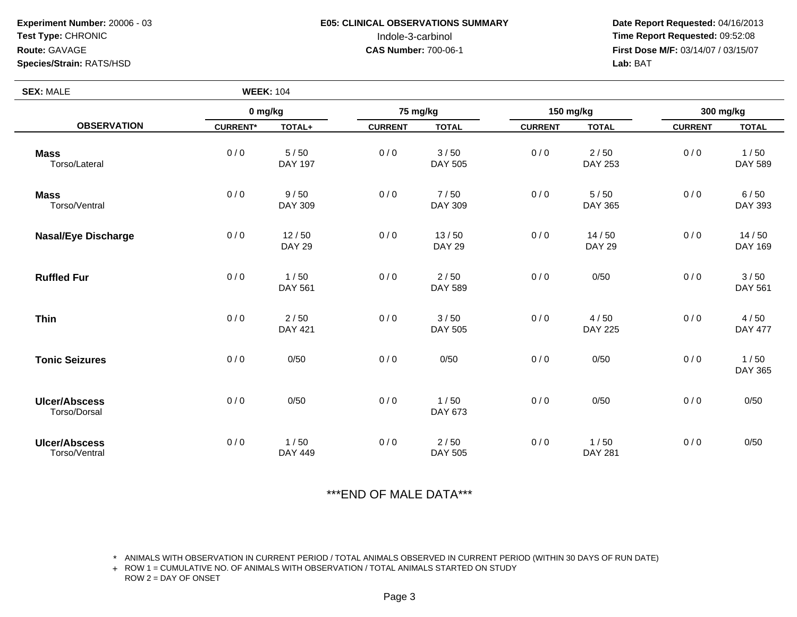**Experiment Number:** 20006 - 03**Test Type:** CHRONIC**Route:** GAVAGE**Species/Strain:** RATS/HSD

**SEX:** MALE

### **E05: CLINICAL OBSERVATIONS SUMMARY**

 **Date Report Requested:** 04/16/2013 Indole-3-carbinol **Time Report Requested:** 09:52:08 **First Dose M/F:** 03/14/07 / 03/15/07<br>**Lab: BAT Lab:** BAT

|                                       | 0 mg/kg         |                        | 75 mg/kg       |                        | 150 mg/kg      |                          | 300 mg/kg      |                        |
|---------------------------------------|-----------------|------------------------|----------------|------------------------|----------------|--------------------------|----------------|------------------------|
| <b>OBSERVATION</b>                    | <b>CURRENT*</b> | TOTAL+                 | <b>CURRENT</b> | <b>TOTAL</b>           | <b>CURRENT</b> | <b>TOTAL</b>             | <b>CURRENT</b> | <b>TOTAL</b>           |
| <b>Mass</b><br>Torso/Lateral          | 0/0             | 5/50<br>DAY 197        | 0/0            | 3/50<br>DAY 505        | 0/0            | $2/50$<br><b>DAY 253</b> | 0/0            | 1/50<br>DAY 589        |
| <b>Mass</b><br>Torso/Ventral          | 0/0             | 9/50<br>DAY 309        | 0/0            | 7/50<br><b>DAY 309</b> | 0/0            | $5/50$<br><b>DAY 365</b> | 0/0            | 6/50<br>DAY 393        |
| <b>Nasal/Eye Discharge</b>            | 0/0             | 12/50<br><b>DAY 29</b> | 0/0            | 13/50<br><b>DAY 29</b> | 0/0            | 14/50<br><b>DAY 29</b>   | 0/0            | 14/50<br>DAY 169       |
| <b>Ruffled Fur</b>                    | 0/0             | 1/50<br><b>DAY 561</b> | 0/0            | 2/50<br>DAY 589        | 0/0            | 0/50                     | 0/0            | 3/50<br><b>DAY 561</b> |
| <b>Thin</b>                           | 0/0             | $2/50$<br>DAY 421      | 0/0            | 3/50<br><b>DAY 505</b> | 0/0            | 4/50<br><b>DAY 225</b>   | 0/0            | 4/50<br><b>DAY 477</b> |
| <b>Tonic Seizures</b>                 | 0/0             | 0/50                   | 0/0            | 0/50                   | 0/0            | 0/50                     | 0/0            | 1/50<br>DAY 365        |
| <b>Ulcer/Abscess</b><br>Torso/Dorsal  | 0/0             | 0/50                   | 0/0            | 1/50<br>DAY 673        | 0/0            | 0/50                     | 0/0            | 0/50                   |
| <b>Ulcer/Abscess</b><br>Torso/Ventral | 0/0             | 1/50<br><b>DAY 449</b> | 0/0            | 2/50<br>DAY 505        | 0/0            | 1/50<br><b>DAY 281</b>   | 0/0            | 0/50                   |

\*\*\*END OF MALE DATA\*\*\*

\* ANIMALS WITH OBSERVATION IN CURRENT PERIOD / TOTAL ANIMALS OBSERVED IN CURRENT PERIOD (WITHIN 30 DAYS OF RUN DATE)

+ ROW 1 = CUMULATIVE NO. OF ANIMALS WITH OBSERVATION / TOTAL ANIMALS STARTED ON STUDY ROW 2 = DAY OF ONSET

**WEEK:** <sup>104</sup>

Page 3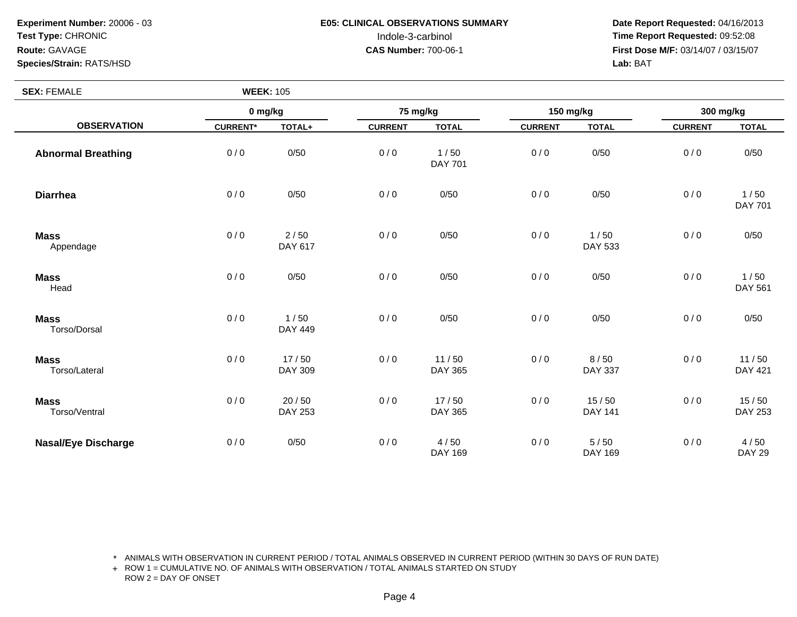**Experiment Number:** 20006 - 03**Test Type:** CHRONIC**Route:** GAVAGE

### **Species/Strain:** RATS/HSD

**SEX:** FEMALE

 **Date Report Requested:** 04/16/2013 Indole-3-carbinol **Time Report Requested:** 09:52:08 **First Dose M/F:** 03/14/07 / 03/15/07<br>Lab: BAT **Lab:** BAT

| <b>SEX: FEMALE</b>           | <b>WEEK: 105</b> |                         |                |                        |                |                         |                |                         |
|------------------------------|------------------|-------------------------|----------------|------------------------|----------------|-------------------------|----------------|-------------------------|
| <b>OBSERVATION</b>           | 0 mg/kg          |                         | 75 mg/kg       |                        | 150 mg/kg      |                         | 300 mg/kg      |                         |
|                              | <b>CURRENT*</b>  | TOTAL+                  | <b>CURRENT</b> | <b>TOTAL</b>           | <b>CURRENT</b> | <b>TOTAL</b>            | <b>CURRENT</b> | <b>TOTAL</b>            |
| <b>Abnormal Breathing</b>    | 0/0              | 0/50                    | 0/0            | 1/50<br><b>DAY 701</b> | 0/0            | 0/50                    | 0/0            | 0/50                    |
| <b>Diarrhea</b>              | 0/0              | 0/50                    | 0/0            | 0/50                   | 0/0            | 0/50                    | 0/0            | 1/50<br><b>DAY 701</b>  |
| <b>Mass</b><br>Appendage     | 0/0              | $2/50$<br>DAY 617       | 0/0            | 0/50                   | 0/0            | 1/50<br>DAY 533         | 0/0            | 0/50                    |
| <b>Mass</b><br>Head          | 0/0              | 0/50                    | 0/0            | 0/50                   | 0/0            | 0/50                    | 0/0            | 1/50<br><b>DAY 561</b>  |
| <b>Mass</b><br>Torso/Dorsal  | 0/0              | 1/50<br>DAY 449         | 0/0            | 0/50                   | 0/0            | 0/50                    | 0/0            | 0/50                    |
| <b>Mass</b><br>Torso/Lateral | 0/0              | 17/50<br><b>DAY 309</b> | 0/0            | 11/50<br>DAY 365       | 0/0            | 8/50<br><b>DAY 337</b>  | 0/0            | 11/50<br><b>DAY 421</b> |
| <b>Mass</b><br>Torso/Ventral | 0/0              | 20/50<br><b>DAY 253</b> | 0/0            | 17/50<br>DAY 365       | 0/0            | 15/50<br><b>DAY 141</b> | 0/0            | 15/50<br><b>DAY 253</b> |
| <b>Nasal/Eye Discharge</b>   | 0/0              | 0/50                    | 0/0            | 4/50<br>DAY 169        | 0/0            | 5/50<br>DAY 169         | 0/0            | 4/50<br><b>DAY 29</b>   |

\* ANIMALS WITH OBSERVATION IN CURRENT PERIOD / TOTAL ANIMALS OBSERVED IN CURRENT PERIOD (WITHIN 30 DAYS OF RUN DATE)

+ ROW 1 = CUMULATIVE NO. OF ANIMALS WITH OBSERVATION / TOTAL ANIMALS STARTED ON STUDY ROW 2 = DAY OF ONSET